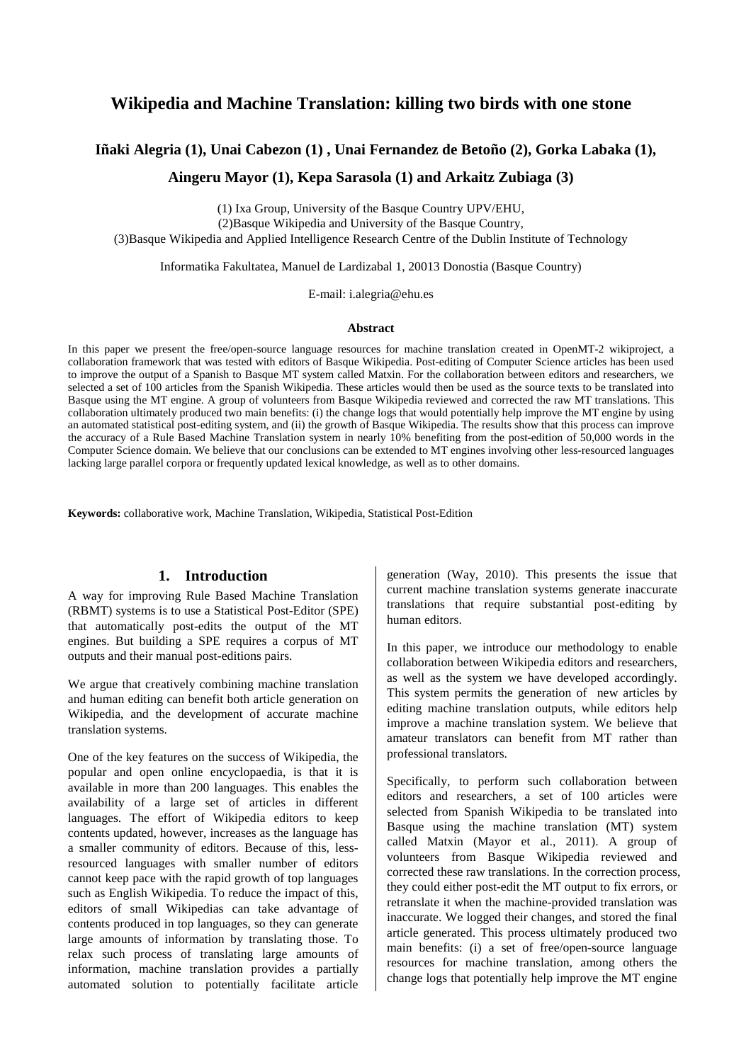# **Wikipedia and Machine Translation: killing two birds with one stone**

# **Iñaki Alegria (1), Unai Cabezon (1) , Unai Fernandez de Betoño (2), Gorka Labaka (1),**

**Aingeru Mayor (1), Kepa Sarasola (1) and Arkaitz Zubiaga (3)** 

(1) Ixa Group, University of the Basque Country UPV/EHU, (2)Basque Wikipedia and University of the Basque Country, (3)Basque Wikipedia and Applied Intelligence Research Centre of the Dublin Institute of Technology

Informatika Fakultatea, Manuel de Lardizabal 1, 20013 Donostia (Basque Country)

E-mail: i.alegria@ehu.es

#### **Abstract**

In this paper we present the free/open-source language resources for machine translation created in OpenMT-2 wikiproject, a collaboration framework that was tested with editors of Basque Wikipedia. Post-editing of Computer Science articles has been used to improve the output of a Spanish to Basque MT system called Matxin. For the collaboration between editors and researchers, we selected a set of 100 articles from the Spanish Wikipedia. These articles would then be used as the source texts to be translated into Basque using the MT engine. A group of volunteers from Basque Wikipedia reviewed and corrected the raw MT translations. This collaboration ultimately produced two main benefits: (i) the change logs that would potentially help improve the MT engine by using an automated statistical post-editing system, and (ii) the growth of Basque Wikipedia. The results show that this process can improve the accuracy of a Rule Based Machine Translation system in nearly 10% benefiting from the post-edition of 50,000 words in the Computer Science domain. We believe that our conclusions can be extended to MT engines involving other less-resourced languages lacking large parallel corpora or frequently updated lexical knowledge, as well as to other domains.

**Keywords:** collaborative work, Machine Translation, Wikipedia, Statistical Post-Edition

#### **1. Introduction**

A way for improving Rule Based Machine Translation (RBMT) systems is to use a Statistical Post-Editor (SPE) that automatically post-edits the output of the MT engines. But building a SPE requires a corpus of MT outputs and their manual post-editions pairs.

We argue that creatively combining machine translation and human editing can benefit both article generation on Wikipedia, and the development of accurate machine translation systems.

One of the key features on the success of Wikipedia, the popular and open online encyclopaedia, is that it is available in more than 200 languages. This enables the availability of a large set of articles in different languages. The effort of Wikipedia editors to keep contents updated, however, increases as the language has a smaller community of editors. Because of this, lessresourced languages with smaller number of editors cannot keep pace with the rapid growth of top languages such as English Wikipedia. To reduce the impact of this, editors of small Wikipedias can take advantage of contents produced in top languages, so they can generate large amounts of information by translating those. To relax such process of translating large amounts of information, machine translation provides a partially automated solution to potentially facilitate article

generation (Way, 2010). This presents the issue that current machine translation systems generate inaccurate translations that require substantial post-editing by human editors.

In this paper, we introduce our methodology to enable collaboration between Wikipedia editors and researchers, as well as the system we have developed accordingly. This system permits the generation of new articles by editing machine translation outputs, while editors help improve a machine translation system. We believe that amateur translators can benefit from MT rather than professional translators.

Specifically, to perform such collaboration between editors and researchers, a set of 100 articles were selected from Spanish Wikipedia to be translated into Basque using the machine translation (MT) system called Matxin (Mayor et al., 2011). A group of volunteers from Basque Wikipedia reviewed and corrected these raw translations. In the correction process, they could either post-edit the MT output to fix errors, or retranslate it when the machine-provided translation was inaccurate. We logged their changes, and stored the final article generated. This process ultimately produced two main benefits: (i) a set of free/open-source language resources for machine translation, among others the change logs that potentially help improve the MT engine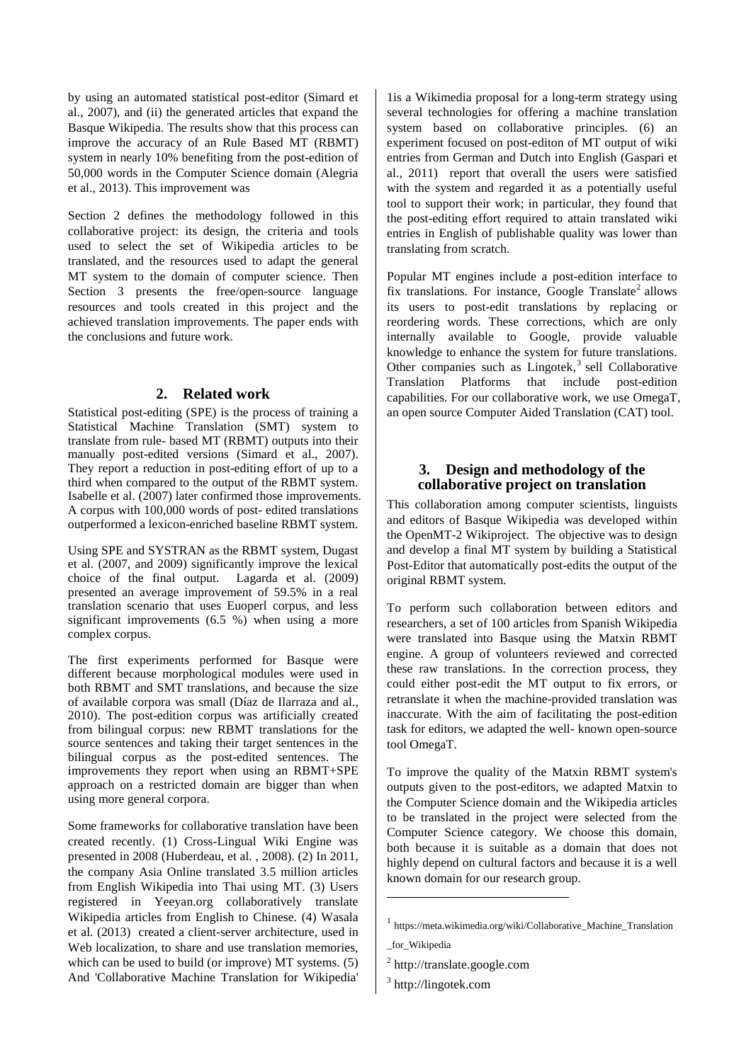by using an automated statistical post-editor (Simard et al., 2007), and (ii) the generated articles that expand the Basque Wikipedia. The results show that this process can improve the accuracy of an Rule Based MT (RBMT) system in nearly 10% benefiting from the post-edition of 50,000 words in the Computer Science domain (Alegria et al., 2013). This improvement was

Section 2 defines the methodology followed in this collaborative project: its design, the criteria and tools used to select the set of Wikipedia articles to be translated, and the resources used to adapt the general MT system to the domain of computer science. Then Section 3 presents the free/open-source language resources and tools created in this project and the achieved translation improvements. The paper ends with the conclusions and future work.

# **2. Related work**

Statistical post-editing (SPE) is the process of training a Statistical Machine Translation (SMT) system to translate from rule- based MT (RBMT) outputs into their manually post-edited versions (Simard et al., 2007). They report a reduction in post-editing effort of up to a third when compared to the output of the RBMT system. Isabelle et al. (2007) later confirmed those improvements. A corpus with 100,000 words of post- edited translations outperformed a lexicon-enriched baseline RBMT system.

Using SPE and SYSTRAN as the RBMT system, Dugast et al. (2007, and 2009) significantly improve the lexical choice of the final output. Lagarda et al. (2009) presented an average improvement of 59.5% in a real translation scenario that uses Euoperl corpus, and less significant improvements (6.5 %) when using a more complex corpus.

The first experiments performed for Basque were different because morphological modules were used in both RBMT and SMT translations, and because the size of available corpora was small (Díaz de Ilarraza and al., 2010). The post-edition corpus was artificially created from bilingual corpus: new RBMT translations for the source sentences and taking their target sentences in the bilingual corpus as the post-edited sentences. The improvements they report when using an RBMT+SPE approach on a restricted domain are bigger than when using more general corpora.

Some frameworks for collaborative translation have been created recently. (1) Cross-Lingual Wiki Engine was presented in 2008 (Huberdeau, et al. , 2008). (2) In 2011, the company Asia Online translated 3.5 million articles from English Wikipedia into Thai using MT. (3) Users registered in Yeeyan.org collaboratively translate Wikipedia articles from English to Chinese. (4) Wasala et al. (2013) created a client-server architecture, used in Web localization, to share and use translation memories, which can be used to build (or improve) MT systems. (5) And 'Collaborative Machine Translation for Wikipedia'

1is a Wikimedia proposal for a long-term strategy using several technologies for offering a machine translation system based on collaborative principles. (6) an experiment focused on post-editon of MT output of wiki entries from German and Dutch into English (Gaspari et al., 2011) report that overall the users were satisfied with the system and regarded it as a potentially useful tool to support their work; in particular, they found that the post-editing effort required to attain translated wiki entries in English of publishable quality was lower than translating from scratch.

Popular MT engines include a post-edition interface to fix translations. For instance, Google Translate<sup>2</sup> allows its users to post-edit translations by replacing or reordering words. These corrections, which are only internally available to Google, provide valuable knowledge to enhance the system for future translations. Other companies such as  $Lingotek$ ,<sup>3</sup> sell Collaborative Translation Platforms that include post-edition capabilities. For our collaborative work, we use OmegaT, an open source Computer Aided Translation (CAT) tool.

#### **3. Design and methodology of the collaborative project on translation**

This collaboration among computer scientists, linguists and editors of Basque Wikipedia was developed within the OpenMT-2 Wikiproject. The objective was to design and develop a final MT system by building a Statistical Post-Editor that automatically post-edits the output of the original RBMT system.

To perform such collaboration between editors and researchers, a set of 100 articles from Spanish Wikipedia were translated into Basque using the Matxin RBMT engine. A group of volunteers reviewed and corrected these raw translations. In the correction process, they could either post-edit the MT output to fix errors, or retranslate it when the machine-provided translation was inaccurate. With the aim of facilitating the post-edition task for editors, we adapted the well- known open-source tool OmegaT.

To improve the quality of the Matxin RBMT system's outputs given to the post-editors, we adapted Matxin to the Computer Science domain and the Wikipedia articles to be translated in the project were selected from the Computer Science category. We choose this domain, both because it is suitable as a domain that does not highly depend on cultural factors and because it is a well known domain for our research group.

-

<sup>1</sup> https://meta.wikimedia.org/wiki/Collaborative\_Machine\_Translation

\_for\_Wikipedia

<sup>2</sup> http://translate.google.com

<sup>&</sup>lt;sup>3</sup> http://lingotek.com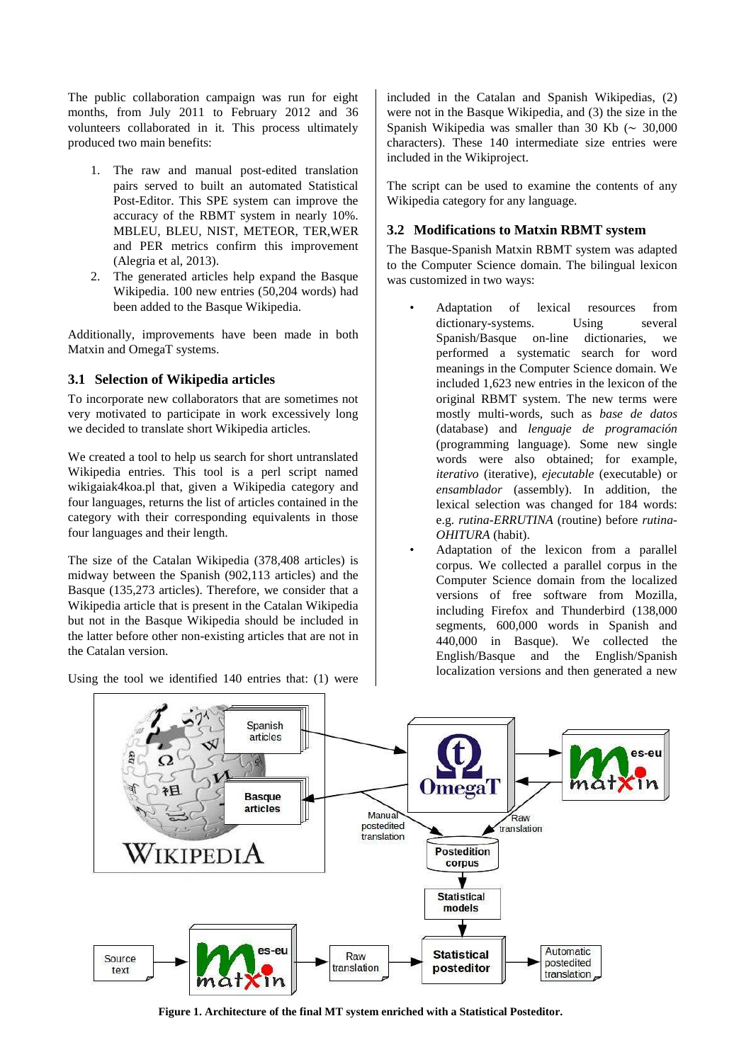The public collaboration campaign was run for eight months, from July 2011 to February 2012 and 36 volunteers collaborated in it. This process ultimately produced two main benefits:

- 1. The raw and manual post-edited translation pairs served to built an automated Statistical Post-Editor. This SPE system can improve the accuracy of the RBMT system in nearly 10%. MBLEU, BLEU, NIST, METEOR, TER,WER and PER metrics confirm this improvement (Alegria et al, 2013).
- 2. The generated articles help expand the Basque Wikipedia. 100 new entries (50,204 words) had been added to the Basque Wikipedia.

Additionally, improvements have been made in both Matxin and OmegaT systems.

# **3.1 Selection of Wikipedia articles**

To incorporate new collaborators that are sometimes not very motivated to participate in work excessively long we decided to translate short Wikipedia articles.

We created a tool to help us search for short untranslated Wikipedia entries. This tool is a perl script named wikigaiak4koa.pl that, given a Wikipedia category and four languages, returns the list of articles contained in the category with their corresponding equivalents in those four languages and their length.

The size of the Catalan Wikipedia (378,408 articles) is midway between the Spanish (902,113 articles) and the Basque (135,273 articles). Therefore, we consider that a Wikipedia article that is present in the Catalan Wikipedia but not in the Basque Wikipedia should be included in the latter before other non-existing articles that are not in the Catalan version.

Using the tool we identified 140 entries that: (1) were

included in the Catalan and Spanish Wikipedias, (2) were not in the Basque Wikipedia, and (3) the size in the Spanish Wikipedia was smaller than 30 Kb (∼ 30,000 characters). These 140 intermediate size entries were included in the Wikiproject.

The script can be used to examine the contents of any Wikipedia category for any language.

# **3.2 Modifications to Matxin RBMT system**

The Basque-Spanish Matxin RBMT system was adapted to the Computer Science domain. The bilingual lexicon was customized in two ways:

- Adaptation of lexical resources from dictionary-systems. Using several Spanish/Basque on-line dictionaries, we performed a systematic search for word meanings in the Computer Science domain. We included 1,623 new entries in the lexicon of the original RBMT system. The new terms were mostly multi-words, such as *base de datos* (database) and *lenguaje de programación* (programming language). Some new single words were also obtained; for example, *iterativo* (iterative), *ejecutable* (executable) or *ensamblador* (assembly). In addition, the lexical selection was changed for 184 words: e.g. *rutina-ERRUTINA* (routine) before *rutina-OHITURA* (habit).
- Adaptation of the lexicon from a parallel corpus. We collected a parallel corpus in the Computer Science domain from the localized versions of free software from Mozilla, including Firefox and Thunderbird (138,000 segments, 600,000 words in Spanish and 440,000 in Basque). We collected the English/Basque and the English/Spanish localization versions and then generated a new



**Figure 1. Architecture of the final MT system enriched with a Statistical Posteditor.**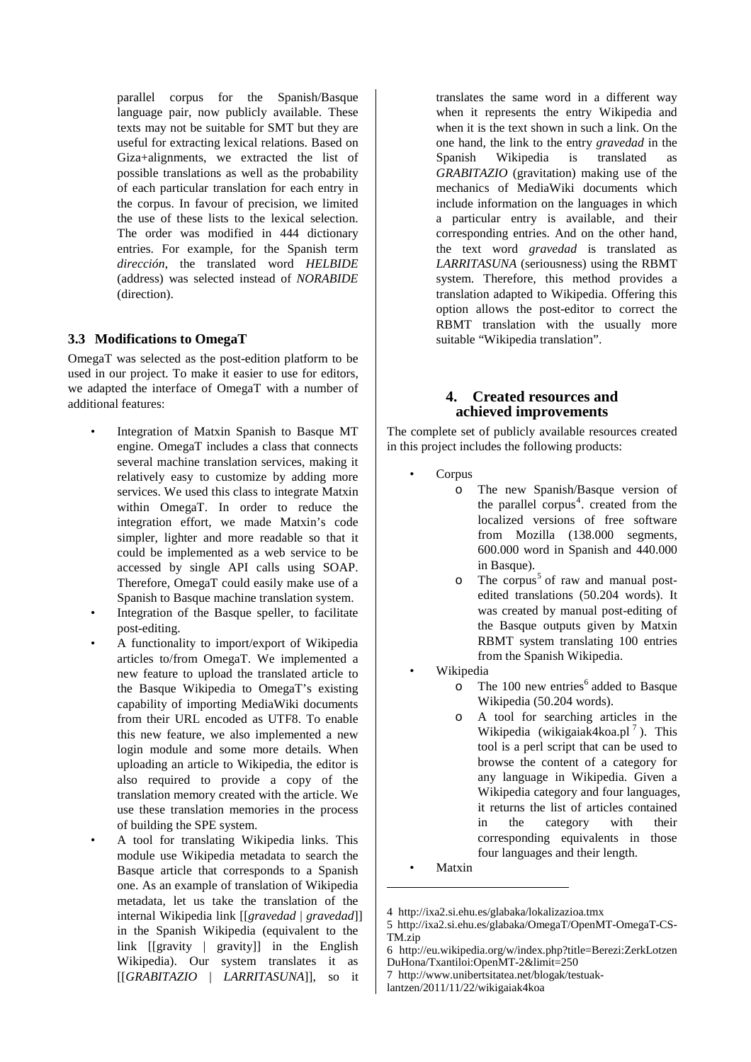parallel corpus for the Spanish/Basque language pair, now publicly available. These texts may not be suitable for SMT but they are useful for extracting lexical relations. Based on Giza+alignments, we extracted the list of possible translations as well as the probability of each particular translation for each entry in the corpus. In favour of precision, we limited the use of these lists to the lexical selection. The order was modified in 444 dictionary entries. For example, for the Spanish term *dirección*, the translated word *HELBIDE* (address) was selected instead of *NORABIDE* (direction).

#### **3.3 Modifications to OmegaT**

OmegaT was selected as the post-edition platform to be used in our project. To make it easier to use for editors, we adapted the interface of OmegaT with a number of additional features:

- Integration of Matxin Spanish to Basque MT engine. OmegaT includes a class that connects several machine translation services, making it relatively easy to customize by adding more services. We used this class to integrate Matxin within OmegaT. In order to reduce the integration effort, we made Matxin's code simpler, lighter and more readable so that it could be implemented as a web service to be accessed by single API calls using SOAP. Therefore, OmegaT could easily make use of a Spanish to Basque machine translation system.
- Integration of the Basque speller, to facilitate post-editing.
- A functionality to import/export of Wikipedia articles to/from OmegaT. We implemented a new feature to upload the translated article to the Basque Wikipedia to OmegaT's existing capability of importing MediaWiki documents from their URL encoded as UTF8. To enable this new feature, we also implemented a new login module and some more details. When uploading an article to Wikipedia, the editor is also required to provide a copy of the translation memory created with the article. We use these translation memories in the process of building the SPE system.
- A tool for translating Wikipedia links. This module use Wikipedia metadata to search the Basque article that corresponds to a Spanish one. As an example of translation of Wikipedia metadata, let us take the translation of the internal Wikipedia link [[*gravedad* | *gravedad*]] in the Spanish Wikipedia (equivalent to the link [[gravity | gravity]] in the English Wikipedia). Our system translates it as [[*GRABITAZIO* | *LARRITASUNA*]], so it

translates the same word in a different way when it represents the entry Wikipedia and when it is the text shown in such a link. On the one hand, the link to the entry *gravedad* in the Spanish Wikipedia is translated as *GRABITAZIO* (gravitation) making use of the mechanics of MediaWiki documents which include information on the languages in which a particular entry is available, and their corresponding entries. And on the other hand, the text word *gravedad* is translated as *LARRITASUNA* (seriousness) using the RBMT system. Therefore, this method provides a translation adapted to Wikipedia. Offering this option allows the post-editor to correct the RBMT translation with the usually more suitable "Wikipedia translation".

# **4. Created resources and achieved improvements**

The complete set of publicly available resources created in this project includes the following products:

- Corpus
	- o The new Spanish/Basque version of the parallel corpus<sup>4</sup>. created from the localized versions of free software from Mozilla (138.000 segments, 600.000 word in Spanish and 440.000 in Basque).
	- o The corpus<sup>5</sup> of raw and manual postedited translations (50.204 words). It was created by manual post-editing of the Basque outputs given by Matxin RBMT system translating 100 entries from the Spanish Wikipedia.
- Wikipedia
	- $\circ$  The 100 new entries<sup>6</sup> added to Basque Wikipedia (50.204 words).
	- o A tool for searching articles in the Wikipedia (wikigaiak4koa.pl $^7$ ). This tool is a perl script that can be used to browse the content of a category for any language in Wikipedia. Given a Wikipedia category and four languages, it returns the list of articles contained in the category with their corresponding equivalents in those four languages and their length.
- **Matxin**

l

<sup>4</sup> http://ixa2.si.ehu.es/glabaka/lokalizazioa.tmx

<sup>5</sup> http://ixa2.si.ehu.es/glabaka/OmegaT/OpenMT-OmegaT-CS-TM.zip

<sup>6</sup> http://eu.wikipedia.org/w/index.php?title=Berezi:ZerkLotzen DuHona/Txantiloi:OpenMT-2&limit=250

<sup>7</sup> http://www.unibertsitatea.net/blogak/testuak-

lantzen/2011/11/22/wikigaiak4koa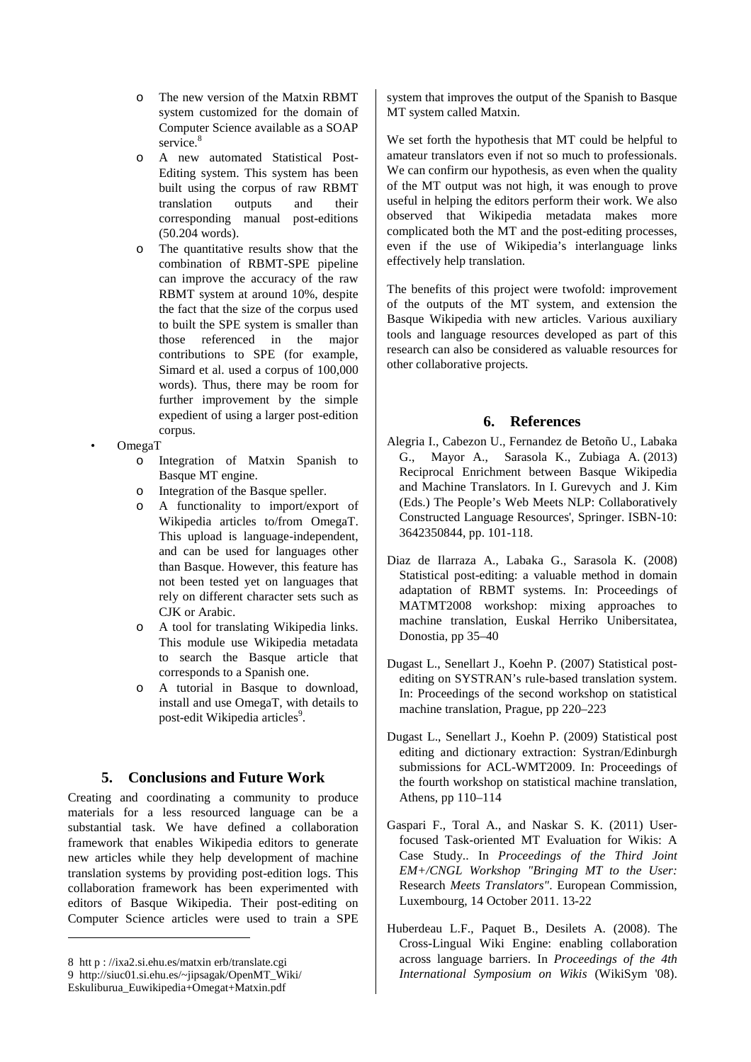- o The new version of the Matxin RBMT system customized for the domain of Computer Science available as a SOAP service.<sup>8</sup>
- o A new automated Statistical Post-Editing system. This system has been built using the corpus of raw RBMT translation outputs and their corresponding manual post-editions (50.204 words).
- o The quantitative results show that the combination of RBMT-SPE pipeline can improve the accuracy of the raw RBMT system at around 10%, despite the fact that the size of the corpus used to built the SPE system is smaller than those referenced in the major contributions to SPE (for example, Simard et al. used a corpus of 100,000 words). Thus, there may be room for further improvement by the simple expedient of using a larger post-edition corpus.
- OmegaT
	- o Integration of Matxin Spanish to Basque MT engine.
	- o Integration of the Basque speller.
	- o A functionality to import/export of Wikipedia articles to/from OmegaT. This upload is language-independent, and can be used for languages other than Basque. However, this feature has not been tested yet on languages that rely on different character sets such as CJK or Arabic.
	- o A tool for translating Wikipedia links. This module use Wikipedia metadata to search the Basque article that corresponds to a Spanish one.
	- o A tutorial in Basque to download, install and use OmegaT, with details to post-edit Wikipedia articles<sup>9</sup>.

#### **5. Conclusions and Future Work**

Creating and coordinating a community to produce materials for a less resourced language can be a substantial task. We have defined a collaboration framework that enables Wikipedia editors to generate new articles while they help development of machine translation systems by providing post-edition logs. This collaboration framework has been experimented with editors of Basque Wikipedia. Their post-editing on Computer Science articles were used to train a SPE

l

system that improves the output of the Spanish to Basque MT system called Matxin.

We set forth the hypothesis that MT could be helpful to amateur translators even if not so much to professionals. We can confirm our hypothesis, as even when the quality of the MT output was not high, it was enough to prove useful in helping the editors perform their work. We also observed that Wikipedia metadata makes more complicated both the MT and the post-editing processes, even if the use of Wikipedia's interlanguage links effectively help translation.

The benefits of this project were twofold: improvement of the outputs of the MT system, and extension the Basque Wikipedia with new articles. Various auxiliary tools and language resources developed as part of this research can also be considered as valuable resources for other collaborative projects.

#### **6. References**

- Alegria I., Cabezon U., Fernandez de Betoño U., Labaka G., Mayor A., Sarasola K., Zubiaga A. (2013) Reciprocal Enrichment between Basque Wikipedia and Machine Translators. In I. Gurevych and J. Kim (Eds.) The People's Web Meets NLP: Collaboratively Constructed Language Resources', Springer. ISBN-10: 3642350844, pp. 101-118.
- Diaz de Ilarraza A., Labaka G., Sarasola K. (2008) Statistical post-editing: a valuable method in domain adaptation of RBMT systems. In: Proceedings of MATMT2008 workshop: mixing approaches to machine translation, Euskal Herriko Unibersitatea, Donostia, pp 35–40
- Dugast L., Senellart J., Koehn P. (2007) Statistical postediting on SYSTRAN's rule-based translation system. In: Proceedings of the second workshop on statistical machine translation, Prague, pp 220–223
- Dugast L., Senellart J., Koehn P. (2009) Statistical post editing and dictionary extraction: Systran/Edinburgh submissions for ACL-WMT2009. In: Proceedings of the fourth workshop on statistical machine translation, Athens, pp 110–114
- Gaspari F., Toral A., and Naskar S. K. (2011) Userfocused Task-oriented MT Evaluation for Wikis: A Case Study.. In *Proceedings of the Third Joint EM+/CNGL Workshop "Bringing MT to the User:*  Research *Meets Translators"*. European Commission, Luxembourg, 14 October 2011. 13-22
- Huberdeau L.F., Paquet B., Desilets A. (2008). The Cross-Lingual Wiki Engine: enabling collaboration across language barriers. In *Proceedings of the 4th International Symposium on Wikis* (WikiSym '08).

<sup>8</sup> htt p : //ixa2.si.ehu.es/matxin erb/translate.cgi

<sup>9</sup> http://siuc01.si.ehu.es/~jipsagak/OpenMT\_Wiki/

Eskuliburua\_Euwikipedia+Omegat+Matxin.pdf